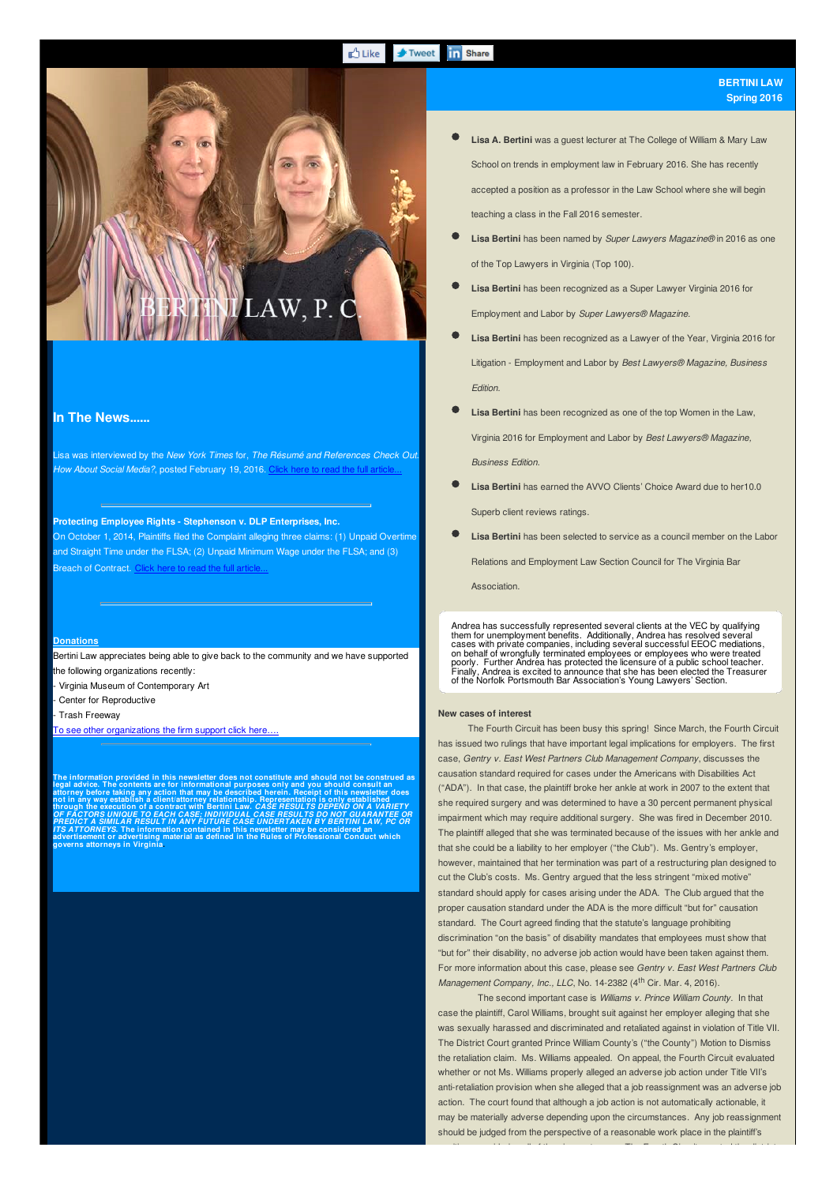#### **D** Like **in** Share **F**Tweet

# **Lisa A. Bertini** was a guest lecturer at The College of William & Mary Law School on trends in employment law in February 2016. She has recently accepted a position as a professor in the Law School where she will begin teaching a class in the Fall 2016 semester.

**Lisa Bertini** has been named by *Super Lawyers Magazine®* in 2016 as one of the Top Lawyers in Virginia (Top 100).

- **Lisa Bertini** has been recognized as a Super Lawyer Virginia 2016 for Employment and Labor by *Super Lawyers® Magazine.*
- **Lisa Bertini** has been recognized as a Lawyer of the Year, Virginia 2016 for Litigation - Employment and Labor by *Best Lawyers® Magazine, Business Edition.*
- **Lisa Bertini** has been recognized as one of the top Women in the Law,

Virginia 2016 for Employment and Labor by *Best Lawyers® Magazine, Business Edition.*

- **Lisa Bertini** has earned the AVVO Clients' Choice Award due to her10.0 Superb client reviews ratings.
- **Lisa Bertini** has been selected to service as a council member on the Labor Relations and Employment Law Section Council for The Virginia Bar

**Association** 

Andrea has successfully represented several clients at the VEC by qualifying them for unemployment benefits. Additionally, Andrea has resolved several<br>cases with private companies, including several successful EEOC mediations,<br>on behalf of wrongfully terminated employees or employees who were treat

## **New cases of interest**

The Fourth Circuit has been busy this spring! Since March, the Fourth Circuit has issued two rulings that have important legal implications for employers. The first case, *Gentry v. East West Partners Club Management Company*, discusses the causation standard required for cases under the Americans with Disabilities Act ("ADA"). In that case, the plaintiff broke her ankle at work in 2007 to the extent that she required surgery and was determined to have a 30 percent permanent physical impairment which may require additional surgery. She was fired in December 2010. The plaintiff alleged that she was terminated because of the issues with her ankle and that she could be a liability to her employer ("the Club"). Ms. Gentry's employer, however, maintained that her termination was part of a restructuring plan designed to cut the Club's costs. Ms. Gentry argued that the less stringent "mixed motive" standard should apply for cases arising under the ADA. The Club argued that the proper causation standard under the ADA is the more difficult "but for" causation standard. The Court agreed finding that the statute's language prohibiting discrimination "on the basis" of disability mandates that employees must show that "but for" their disability, no adverse job action would have been taken against them. For more information about this case, please see *Gentry v. East West Partners Club Management Company, Inc., LLC*, No. 14-2382 (4 th Cir. Mar. 4, 2016).

The second important case is *Williams v. Prince William County*. In that case the plaintiff, Carol Williams, brought suit against her employer alleging that she was sexually harassed and discriminated and retaliated against in violation of Title VII. The District Court granted Prince William County's ("the County") Motion to Dismiss the retaliation claim. Ms. Williams appealed. On appeal, the Fourth Circuit evaluated whether or not Ms. Williams properly alleged an adverse job action under Title VII's anti-retaliation provision when she alleged that a job reassignment was an adverse job action. The court found that although a job action is not automatically actionable, it may be materially adverse depending upon the circumstances. Any job reassignment should be judged from the perspective of a reasonable work place in the plaintiff's

position, considering all of the circumstances. The Fourth Circuit vacated the district

### **In The News......**

Lisa was interviewed by the *New York Times* for, *The Résumé and References Check Out. How About Social Media?*, posted February 19, 2016. Click here to read the full article...

 $\Delta W$ , P.

#### **Protecting Employee Rights - Stephenson v. DLP Enterprises, Inc.**

On October 1, 2014, Plaintiffs filed the Complaint alleging three claims: (1) Unpaid Overtime and Straight Time under the FLSA; (2) Unpaid Minimum Wage under the FLSA; and (3) Breach of Contract. C

#### **Donations**

Bertini Law appreciates being able to give back to the community and we have supported the following organizations recently:

- Virginia Museum of Contemporary Art

Center for Reproductive

- Trash Freeway

To see other organizations the firm support click here.

The information provided in this newsletter does not constitute and should not be construed as<br>legal advice. The contents are for informational purposes only and you should consult an<br>attorney before taking any action that **not in any way establish a client/attorney relationship. Representation is only established through the execution of a contract with Bertini Law.** *CASE RESULTS DEPEND ON A VARIETY OF FACTORS UNIQUE TO EACH CASE; INDIVIDUAL CASE RESULTS DO NOT GUARANTEE OR PREDICT A SIMILAR RESULT IN ANY FUTURE CASE UNDERTAKEN BY BERTINI LAW, PC OR* ITS ATTORNEYS. The information contained in this newsletter may be considered an<br>advertisement or advertising material as defined in the Rules of Professional Conduct which **CORNEYS. The inform<br>ement or advertising<br><mark>attorneys in Virgini</mark>a**